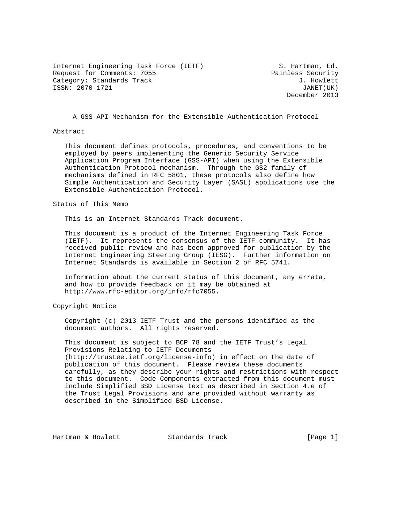Internet Engineering Task Force (IETF) S. Hartman, Ed. Request for Comments: 7055 Painless Security Category: Standards Track J. Howlett ISSN: 2070-1721 JANET(UK)

December 2013

A GSS-API Mechanism for the Extensible Authentication Protocol

#### Abstract

 This document defines protocols, procedures, and conventions to be employed by peers implementing the Generic Security Service Application Program Interface (GSS-API) when using the Extensible Authentication Protocol mechanism. Through the GS2 family of mechanisms defined in RFC 5801, these protocols also define how Simple Authentication and Security Layer (SASL) applications use the Extensible Authentication Protocol.

#### Status of This Memo

This is an Internet Standards Track document.

 This document is a product of the Internet Engineering Task Force (IETF). It represents the consensus of the IETF community. It has received public review and has been approved for publication by the Internet Engineering Steering Group (IESG). Further information on Internet Standards is available in Section 2 of RFC 5741.

 Information about the current status of this document, any errata, and how to provide feedback on it may be obtained at http://www.rfc-editor.org/info/rfc7055.

Copyright Notice

 Copyright (c) 2013 IETF Trust and the persons identified as the document authors. All rights reserved.

 This document is subject to BCP 78 and the IETF Trust's Legal Provisions Relating to IETF Documents (http://trustee.ietf.org/license-info) in effect on the date of publication of this document. Please review these documents carefully, as they describe your rights and restrictions with respect to this document. Code Components extracted from this document must include Simplified BSD License text as described in Section 4.e of the Trust Legal Provisions and are provided without warranty as described in the Simplified BSD License.

Hartman & Howlett **Standards Track** [Page 1]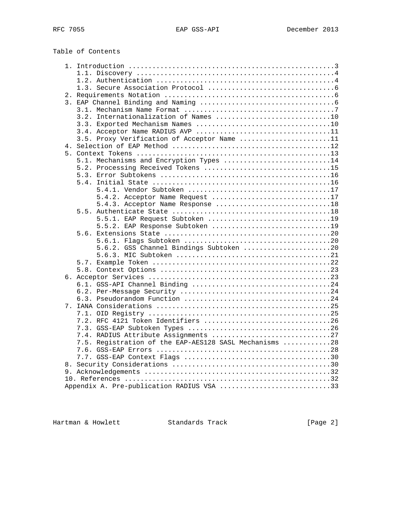Table of Contents

| 3.2. Internationalization of Names 10                  |  |
|--------------------------------------------------------|--|
|                                                        |  |
|                                                        |  |
| 3.5. Proxy Verification of Acceptor Name 11            |  |
|                                                        |  |
|                                                        |  |
| 5.1. Mechanisms and Encryption Types 14                |  |
| 5.2. Processing Received Tokens 15                     |  |
|                                                        |  |
|                                                        |  |
|                                                        |  |
| 5.4.2. Acceptor Name Request 17                        |  |
|                                                        |  |
|                                                        |  |
| 5.5.1. EAP Request Subtoken 19                         |  |
| 5.5.2. EAP Response Subtoken 19                        |  |
|                                                        |  |
|                                                        |  |
| 5.6.2. GSS Channel Bindings Subtoken 20                |  |
|                                                        |  |
|                                                        |  |
|                                                        |  |
|                                                        |  |
|                                                        |  |
|                                                        |  |
|                                                        |  |
|                                                        |  |
|                                                        |  |
|                                                        |  |
|                                                        |  |
| 7.4. RADIUS Attribute Assignments 27                   |  |
| 7.5. Registration of the EAP-AES128 SASL Mechanisms 28 |  |
|                                                        |  |
|                                                        |  |
|                                                        |  |
|                                                        |  |
|                                                        |  |
| Appendix A. Pre-publication RADIUS VSA 33              |  |

Hartman & Howlett Standards Track [Page 2]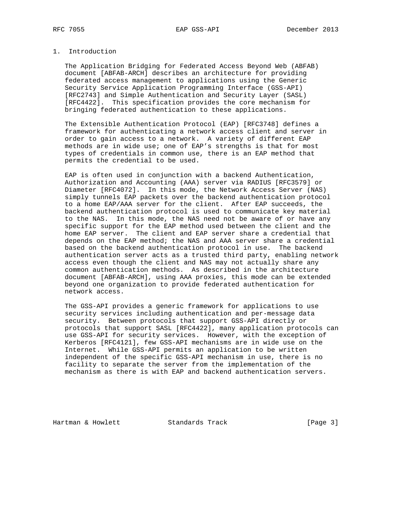## 1. Introduction

 The Application Bridging for Federated Access Beyond Web (ABFAB) document [ABFAB-ARCH] describes an architecture for providing federated access management to applications using the Generic Security Service Application Programming Interface (GSS-API) [RFC2743] and Simple Authentication and Security Layer (SASL) [RFC4422]. This specification provides the core mechanism for bringing federated authentication to these applications.

 The Extensible Authentication Protocol (EAP) [RFC3748] defines a framework for authenticating a network access client and server in order to gain access to a network. A variety of different EAP methods are in wide use; one of EAP's strengths is that for most types of credentials in common use, there is an EAP method that permits the credential to be used.

 EAP is often used in conjunction with a backend Authentication, Authorization and Accounting (AAA) server via RADIUS [RFC3579] or Diameter [RFC4072]. In this mode, the Network Access Server (NAS) simply tunnels EAP packets over the backend authentication protocol to a home EAP/AAA server for the client. After EAP succeeds, the backend authentication protocol is used to communicate key material to the NAS. In this mode, the NAS need not be aware of or have any specific support for the EAP method used between the client and the home EAP server. The client and EAP server share a credential that depends on the EAP method; the NAS and AAA server share a credential based on the backend authentication protocol in use. The backend authentication server acts as a trusted third party, enabling network access even though the client and NAS may not actually share any common authentication methods. As described in the architecture document [ABFAB-ARCH], using AAA proxies, this mode can be extended beyond one organization to provide federated authentication for network access.

 The GSS-API provides a generic framework for applications to use security services including authentication and per-message data security. Between protocols that support GSS-API directly or protocols that support SASL [RFC4422], many application protocols can use GSS-API for security services. However, with the exception of Kerberos [RFC4121], few GSS-API mechanisms are in wide use on the Internet. While GSS-API permits an application to be written independent of the specific GSS-API mechanism in use, there is no facility to separate the server from the implementation of the mechanism as there is with EAP and backend authentication servers.

Hartman & Howlett **Standards Track** [Page 3]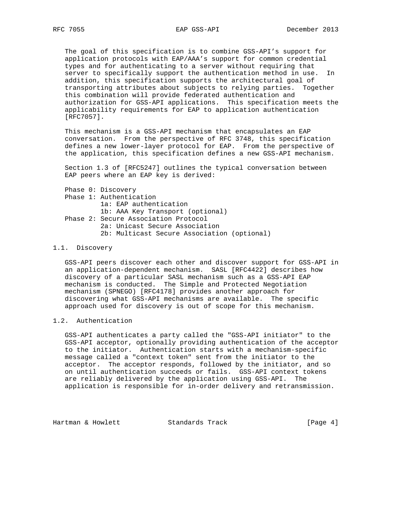The goal of this specification is to combine GSS-API's support for application protocols with EAP/AAA's support for common credential types and for authenticating to a server without requiring that server to specifically support the authentication method in use. In addition, this specification supports the architectural goal of transporting attributes about subjects to relying parties. Together this combination will provide federated authentication and authorization for GSS-API applications. This specification meets the applicability requirements for EAP to application authentication [RFC7057].

 This mechanism is a GSS-API mechanism that encapsulates an EAP conversation. From the perspective of RFC 3748, this specification defines a new lower-layer protocol for EAP. From the perspective of the application, this specification defines a new GSS-API mechanism.

 Section 1.3 of [RFC5247] outlines the typical conversation between EAP peers where an EAP key is derived:

 Phase 0: Discovery Phase 1: Authentication 1a: EAP authentication 1b: AAA Key Transport (optional) Phase 2: Secure Association Protocol 2a: Unicast Secure Association 2b: Multicast Secure Association (optional)

#### 1.1. Discovery

 GSS-API peers discover each other and discover support for GSS-API in an application-dependent mechanism. SASL [RFC4422] describes how discovery of a particular SASL mechanism such as a GSS-API EAP mechanism is conducted. The Simple and Protected Negotiation mechanism (SPNEGO) [RFC4178] provides another approach for discovering what GSS-API mechanisms are available. The specific approach used for discovery is out of scope for this mechanism.

# 1.2. Authentication

 GSS-API authenticates a party called the "GSS-API initiator" to the GSS-API acceptor, optionally providing authentication of the acceptor to the initiator. Authentication starts with a mechanism-specific message called a "context token" sent from the initiator to the acceptor. The acceptor responds, followed by the initiator, and so on until authentication succeeds or fails. GSS-API context tokens are reliably delivered by the application using GSS-API. The application is responsible for in-order delivery and retransmission.

Hartman & Howlett **Standards Track** [Page 4]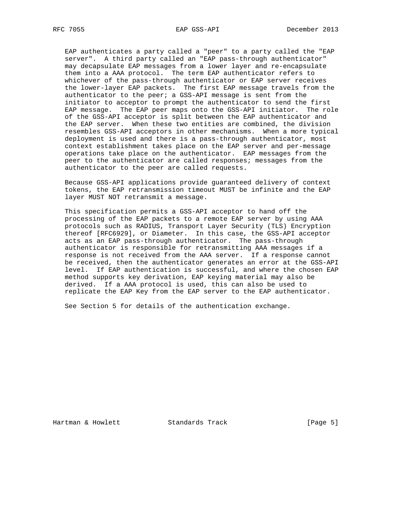EAP authenticates a party called a "peer" to a party called the "EAP server". A third party called an "EAP pass-through authenticator" may decapsulate EAP messages from a lower layer and re-encapsulate them into a AAA protocol. The term EAP authenticator refers to whichever of the pass-through authenticator or EAP server receives the lower-layer EAP packets. The first EAP message travels from the authenticator to the peer; a GSS-API message is sent from the initiator to acceptor to prompt the authenticator to send the first EAP message. The EAP peer maps onto the GSS-API initiator. The role of the GSS-API acceptor is split between the EAP authenticator and the EAP server. When these two entities are combined, the division resembles GSS-API acceptors in other mechanisms. When a more typical deployment is used and there is a pass-through authenticator, most context establishment takes place on the EAP server and per-message operations take place on the authenticator. EAP messages from the peer to the authenticator are called responses; messages from the authenticator to the peer are called requests.

 Because GSS-API applications provide guaranteed delivery of context tokens, the EAP retransmission timeout MUST be infinite and the EAP layer MUST NOT retransmit a message.

 This specification permits a GSS-API acceptor to hand off the processing of the EAP packets to a remote EAP server by using AAA protocols such as RADIUS, Transport Layer Security (TLS) Encryption thereof [RFC6929], or Diameter. In this case, the GSS-API acceptor acts as an EAP pass-through authenticator. The pass-through authenticator is responsible for retransmitting AAA messages if a response is not received from the AAA server. If a response cannot be received, then the authenticator generates an error at the GSS-API level. If EAP authentication is successful, and where the chosen EAP method supports key derivation, EAP keying material may also be derived. If a AAA protocol is used, this can also be used to replicate the EAP Key from the EAP server to the EAP authenticator.

See Section 5 for details of the authentication exchange.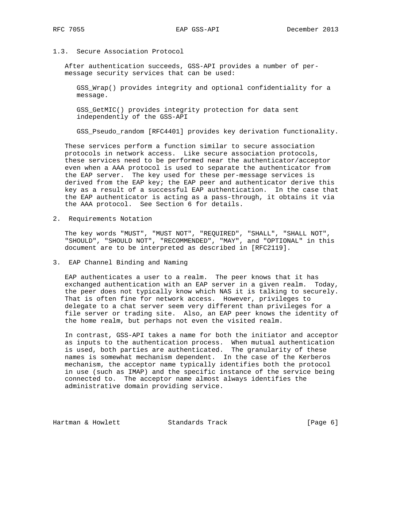# 1.3. Secure Association Protocol

 After authentication succeeds, GSS-API provides a number of per message security services that can be used:

 GSS\_Wrap() provides integrity and optional confidentiality for a message.

 GSS\_GetMIC() provides integrity protection for data sent independently of the GSS-API

GSS\_Pseudo\_random [RFC4401] provides key derivation functionality.

 These services perform a function similar to secure association protocols in network access. Like secure association protocols, these services need to be performed near the authenticator/acceptor even when a AAA protocol is used to separate the authenticator from the EAP server. The key used for these per-message services is derived from the EAP key; the EAP peer and authenticator derive this key as a result of a successful EAP authentication. In the case that the EAP authenticator is acting as a pass-through, it obtains it via the AAA protocol. See Section 6 for details.

2. Requirements Notation

 The key words "MUST", "MUST NOT", "REQUIRED", "SHALL", "SHALL NOT", "SHOULD", "SHOULD NOT", "RECOMMENDED", "MAY", and "OPTIONAL" in this document are to be interpreted as described in [RFC2119].

3. EAP Channel Binding and Naming

 EAP authenticates a user to a realm. The peer knows that it has exchanged authentication with an EAP server in a given realm. Today, the peer does not typically know which NAS it is talking to securely. That is often fine for network access. However, privileges to delegate to a chat server seem very different than privileges for a file server or trading site. Also, an EAP peer knows the identity of the home realm, but perhaps not even the visited realm.

 In contrast, GSS-API takes a name for both the initiator and acceptor as inputs to the authentication process. When mutual authentication is used, both parties are authenticated. The granularity of these names is somewhat mechanism dependent. In the case of the Kerberos mechanism, the acceptor name typically identifies both the protocol in use (such as IMAP) and the specific instance of the service being connected to. The acceptor name almost always identifies the administrative domain providing service.

Hartman & Howlett **Standards Track** [Page 6]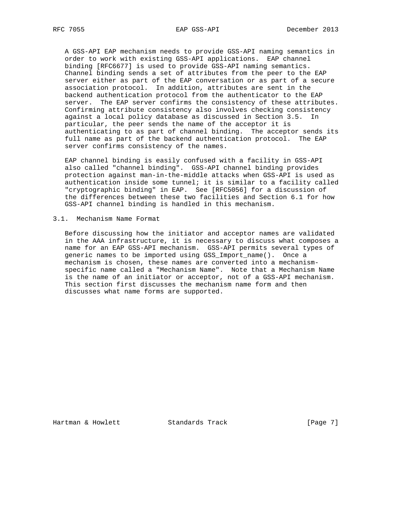A GSS-API EAP mechanism needs to provide GSS-API naming semantics in order to work with existing GSS-API applications. EAP channel binding [RFC6677] is used to provide GSS-API naming semantics. Channel binding sends a set of attributes from the peer to the EAP server either as part of the EAP conversation or as part of a secure association protocol. In addition, attributes are sent in the backend authentication protocol from the authenticator to the EAP server. The EAP server confirms the consistency of these attributes. Confirming attribute consistency also involves checking consistency against a local policy database as discussed in Section 3.5. In particular, the peer sends the name of the acceptor it is authenticating to as part of channel binding. The acceptor sends its full name as part of the backend authentication protocol. The EAP server confirms consistency of the names.

 EAP channel binding is easily confused with a facility in GSS-API also called "channel binding". GSS-API channel binding provides protection against man-in-the-middle attacks when GSS-API is used as authentication inside some tunnel; it is similar to a facility called "cryptographic binding" in EAP. See [RFC5056] for a discussion of the differences between these two facilities and Section 6.1 for how GSS-API channel binding is handled in this mechanism.

#### 3.1. Mechanism Name Format

 Before discussing how the initiator and acceptor names are validated in the AAA infrastructure, it is necessary to discuss what composes a name for an EAP GSS-API mechanism. GSS-API permits several types of generic names to be imported using GSS\_Import\_name(). Once a mechanism is chosen, these names are converted into a mechanism specific name called a "Mechanism Name". Note that a Mechanism Name is the name of an initiator or acceptor, not of a GSS-API mechanism. This section first discusses the mechanism name form and then discusses what name forms are supported.

Hartman & Howlett **Standards Track** [Page 7]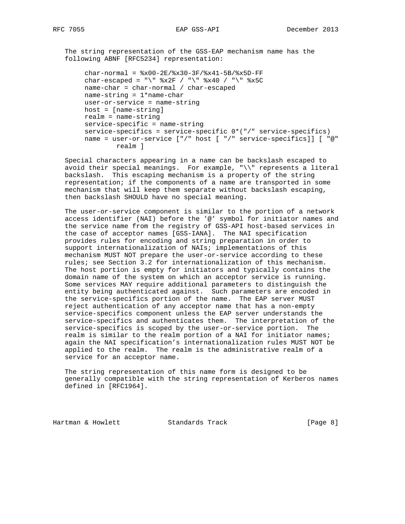The string representation of the GSS-EAP mechanism name has the following ABNF [RFC5234] representation:

 $char-normal =  $\frac{8x00-2E}{8x30-3F}/\frac{8x41-5B}{8x5D-FF}$$ char-escaped = "\"  $x2F / "$ \"  $*x40 / "$ \"  $*x5C$  name-char = char-normal / char-escaped name-string = 1\*name-char user-or-service = name-string host = [name-string] realm = name-string service-specific = name-string service-specifics = service-specific 0\*("/" service-specifics) name = user-or-service ["/" host [ "/" service-specifics]] [ "@" realm ]

 Special characters appearing in a name can be backslash escaped to avoid their special meanings. For example, "\\" represents a literal backslash. This escaping mechanism is a property of the string representation; if the components of a name are transported in some mechanism that will keep them separate without backslash escaping, then backslash SHOULD have no special meaning.

 The user-or-service component is similar to the portion of a network access identifier (NAI) before the '@' symbol for initiator names and the service name from the registry of GSS-API host-based services in the case of acceptor names [GSS-IANA]. The NAI specification provides rules for encoding and string preparation in order to support internationalization of NAIs; implementations of this mechanism MUST NOT prepare the user-or-service according to these rules; see Section 3.2 for internationalization of this mechanism. The host portion is empty for initiators and typically contains the domain name of the system on which an acceptor service is running. Some services MAY require additional parameters to distinguish the entity being authenticated against. Such parameters are encoded in the service-specifics portion of the name. The EAP server MUST reject authentication of any acceptor name that has a non-empty service-specifics component unless the EAP server understands the service-specifics and authenticates them. The interpretation of the service-specifics is scoped by the user-or-service portion. The realm is similar to the realm portion of a NAI for initiator names; again the NAI specification's internationalization rules MUST NOT be applied to the realm. The realm is the administrative realm of a service for an acceptor name.

 The string representation of this name form is designed to be generally compatible with the string representation of Kerberos names defined in [RFC1964].

Hartman & Howlett **Standards Track** [Page 8]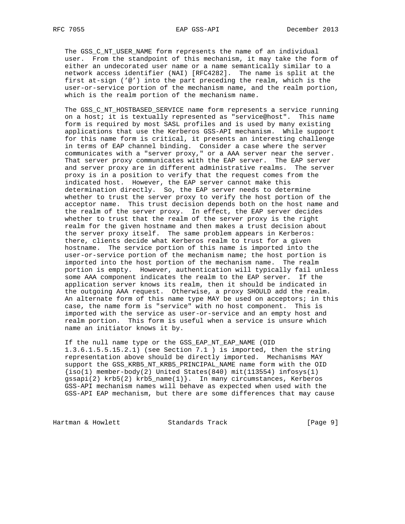The GSS\_C\_NT\_USER\_NAME form represents the name of an individual user. From the standpoint of this mechanism, it may take the form of either an undecorated user name or a name semantically similar to a network access identifier (NAI) [RFC4282]. The name is split at the first at-sign ('@') into the part preceding the realm, which is the user-or-service portion of the mechanism name, and the realm portion, which is the realm portion of the mechanism name.

 The GSS\_C\_NT\_HOSTBASED\_SERVICE name form represents a service running on a host; it is textually represented as "service@host". This name form is required by most SASL profiles and is used by many existing applications that use the Kerberos GSS-API mechanism. While support for this name form is critical, it presents an interesting challenge in terms of EAP channel binding. Consider a case where the server communicates with a "server proxy," or a AAA server near the server. That server proxy communicates with the EAP server. The EAP server and server proxy are in different administrative realms. The server proxy is in a position to verify that the request comes from the indicated host. However, the EAP server cannot make this determination directly. So, the EAP server needs to determine whether to trust the server proxy to verify the host portion of the acceptor name. This trust decision depends both on the host name and the realm of the server proxy. In effect, the EAP server decides whether to trust that the realm of the server proxy is the right realm for the given hostname and then makes a trust decision about the server proxy itself. The same problem appears in Kerberos: there, clients decide what Kerberos realm to trust for a given hostname. The service portion of this name is imported into the user-or-service portion of the mechanism name; the host portion is imported into the host portion of the mechanism name. The realm portion is empty. However, authentication will typically fail unless some AAA component indicates the realm to the EAP server. If the application server knows its realm, then it should be indicated in the outgoing AAA request. Otherwise, a proxy SHOULD add the realm. An alternate form of this name type MAY be used on acceptors; in this case, the name form is "service" with no host component. This is imported with the service as user-or-service and an empty host and realm portion. This form is useful when a service is unsure which name an initiator knows it by.

 If the null name type or the GSS\_EAP\_NT\_EAP\_NAME (OID 1.3.6.1.5.5.15.2.1) (see Section 7.1 ) is imported, then the string representation above should be directly imported. Mechanisms MAY support the GSS\_KRB5\_NT\_KRB5\_PRINCIPAL\_NAME name form with the OID  $\{iso(1)$  member-body(2) United States(840) mit(113554) infosys(1) gssapi(2) krb5(2) krb5\_name(1)}. In many circumstances, Kerberos GSS-API mechanism names will behave as expected when used with the GSS-API EAP mechanism, but there are some differences that may cause

Hartman & Howlett Standards Track [Page 9]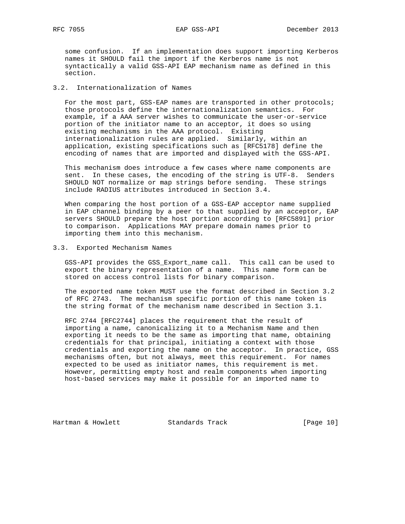some confusion. If an implementation does support importing Kerberos names it SHOULD fail the import if the Kerberos name is not syntactically a valid GSS-API EAP mechanism name as defined in this section.

# 3.2. Internationalization of Names

 For the most part, GSS-EAP names are transported in other protocols; those protocols define the internationalization semantics. For example, if a AAA server wishes to communicate the user-or-service portion of the initiator name to an acceptor, it does so using existing mechanisms in the AAA protocol. Existing internationalization rules are applied. Similarly, within an application, existing specifications such as [RFC5178] define the encoding of names that are imported and displayed with the GSS-API.

 This mechanism does introduce a few cases where name components are sent. In these cases, the encoding of the string is UTF-8. Senders SHOULD NOT normalize or map strings before sending. These strings include RADIUS attributes introduced in Section 3.4.

 When comparing the host portion of a GSS-EAP acceptor name supplied in EAP channel binding by a peer to that supplied by an acceptor, EAP servers SHOULD prepare the host portion according to [RFC5891] prior to comparison. Applications MAY prepare domain names prior to importing them into this mechanism.

#### 3.3. Exported Mechanism Names

 GSS-API provides the GSS\_Export\_name call. This call can be used to export the binary representation of a name. This name form can be stored on access control lists for binary comparison.

 The exported name token MUST use the format described in Section 3.2 of RFC 2743. The mechanism specific portion of this name token is the string format of the mechanism name described in Section 3.1.

 RFC 2744 [RFC2744] places the requirement that the result of importing a name, canonicalizing it to a Mechanism Name and then exporting it needs to be the same as importing that name, obtaining credentials for that principal, initiating a context with those credentials and exporting the name on the acceptor. In practice, GSS mechanisms often, but not always, meet this requirement. For names expected to be used as initiator names, this requirement is met. However, permitting empty host and realm components when importing host-based services may make it possible for an imported name to

Hartman & Howlett Standards Track [Page 10]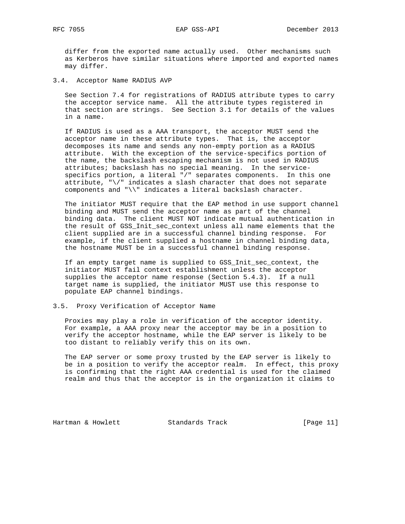differ from the exported name actually used. Other mechanisms such as Kerberos have similar situations where imported and exported names may differ.

3.4. Acceptor Name RADIUS AVP

 See Section 7.4 for registrations of RADIUS attribute types to carry the acceptor service name. All the attribute types registered in that section are strings. See Section 3.1 for details of the values in a name.

 If RADIUS is used as a AAA transport, the acceptor MUST send the acceptor name in these attribute types. That is, the acceptor decomposes its name and sends any non-empty portion as a RADIUS attribute. With the exception of the service-specifics portion of the name, the backslash escaping mechanism is not used in RADIUS attributes; backslash has no special meaning. In the service specifics portion, a literal "/" separates components. In this one attribute, " $\setminus$ " indicates a slash character that does not separate components and "\\" indicates a literal backslash character.

 The initiator MUST require that the EAP method in use support channel binding and MUST send the acceptor name as part of the channel binding data. The client MUST NOT indicate mutual authentication in the result of GSS\_Init\_sec\_context unless all name elements that the client supplied are in a successful channel binding response. For example, if the client supplied a hostname in channel binding data, the hostname MUST be in a successful channel binding response.

 If an empty target name is supplied to GSS\_Init\_sec\_context, the initiator MUST fail context establishment unless the acceptor supplies the acceptor name response (Section 5.4.3). If a null target name is supplied, the initiator MUST use this response to populate EAP channel bindings.

3.5. Proxy Verification of Acceptor Name

 Proxies may play a role in verification of the acceptor identity. For example, a AAA proxy near the acceptor may be in a position to verify the acceptor hostname, while the EAP server is likely to be too distant to reliably verify this on its own.

 The EAP server or some proxy trusted by the EAP server is likely to be in a position to verify the acceptor realm. In effect, this proxy is confirming that the right AAA credential is used for the claimed realm and thus that the acceptor is in the organization it claims to

Hartman & Howlett Standards Track [Page 11]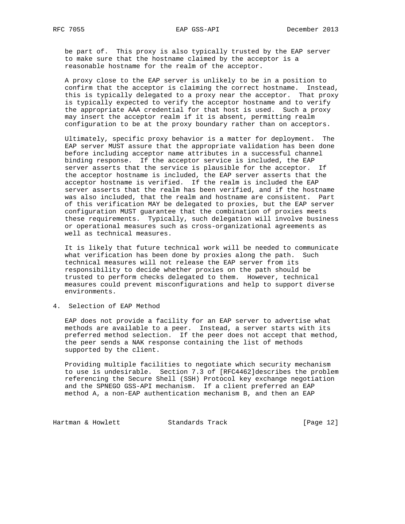be part of. This proxy is also typically trusted by the EAP server to make sure that the hostname claimed by the acceptor is a reasonable hostname for the realm of the acceptor.

 A proxy close to the EAP server is unlikely to be in a position to confirm that the acceptor is claiming the correct hostname. Instead, this is typically delegated to a proxy near the acceptor. That proxy is typically expected to verify the acceptor hostname and to verify the appropriate AAA credential for that host is used. Such a proxy may insert the acceptor realm if it is absent, permitting realm configuration to be at the proxy boundary rather than on acceptors.

 Ultimately, specific proxy behavior is a matter for deployment. The EAP server MUST assure that the appropriate validation has been done before including acceptor name attributes in a successful channel binding response. If the acceptor service is included, the EAP server asserts that the service is plausible for the acceptor. If the acceptor hostname is included, the EAP server asserts that the acceptor hostname is verified. If the realm is included the EAP server asserts that the realm has been verified, and if the hostname was also included, that the realm and hostname are consistent. Part of this verification MAY be delegated to proxies, but the EAP server configuration MUST guarantee that the combination of proxies meets these requirements. Typically, such delegation will involve business or operational measures such as cross-organizational agreements as well as technical measures.

 It is likely that future technical work will be needed to communicate what verification has been done by proxies along the path. Such technical measures will not release the EAP server from its responsibility to decide whether proxies on the path should be trusted to perform checks delegated to them. However, technical measures could prevent misconfigurations and help to support diverse environments.

4. Selection of EAP Method

 EAP does not provide a facility for an EAP server to advertise what methods are available to a peer. Instead, a server starts with its preferred method selection. If the peer does not accept that method, the peer sends a NAK response containing the list of methods supported by the client.

 Providing multiple facilities to negotiate which security mechanism to use is undesirable. Section 7.3 of [RFC4462]describes the problem referencing the Secure Shell (SSH) Protocol key exchange negotiation and the SPNEGO GSS-API mechanism. If a client preferred an EAP method A, a non-EAP authentication mechanism B, and then an EAP

Hartman & Howlett Standards Track [Page 12]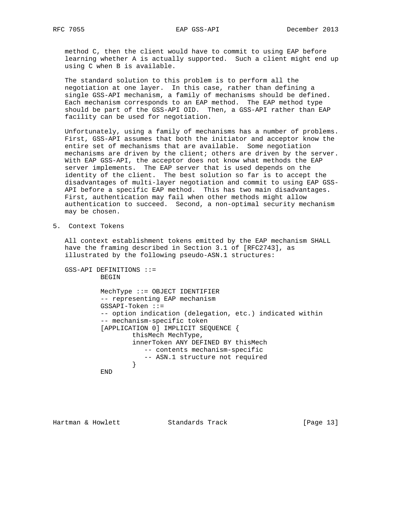method C, then the client would have to commit to using EAP before learning whether A is actually supported. Such a client might end up using C when B is available.

 The standard solution to this problem is to perform all the negotiation at one layer. In this case, rather than defining a single GSS-API mechanism, a family of mechanisms should be defined. Each mechanism corresponds to an EAP method. The EAP method type should be part of the GSS-API OID. Then, a GSS-API rather than EAP facility can be used for negotiation.

 Unfortunately, using a family of mechanisms has a number of problems. First, GSS-API assumes that both the initiator and acceptor know the entire set of mechanisms that are available. Some negotiation mechanisms are driven by the client; others are driven by the server. With EAP GSS-API, the acceptor does not know what methods the EAP server implements. The EAP server that is used depends on the identity of the client. The best solution so far is to accept the disadvantages of multi-layer negotiation and commit to using EAP GSS- API before a specific EAP method. This has two main disadvantages. First, authentication may fail when other methods might allow authentication to succeed. Second, a non-optimal security mechanism may be chosen.

5. Context Tokens

 All context establishment tokens emitted by the EAP mechanism SHALL have the framing described in Section 3.1 of [RFC2743], as illustrated by the following pseudo-ASN.1 structures:

 GSS-API DEFINITIONS ::= BEGIN MechType ::= OBJECT IDENTIFIER -- representing EAP mechanism GSSAPI-Token ::= -- option indication (delegation, etc.) indicated within -- mechanism-specific token [APPLICATION 0] IMPLICIT SEQUENCE { thisMech MechType, innerToken ANY DEFINED BY thisMech -- contents mechanism-specific -- ASN.1 structure not required } } END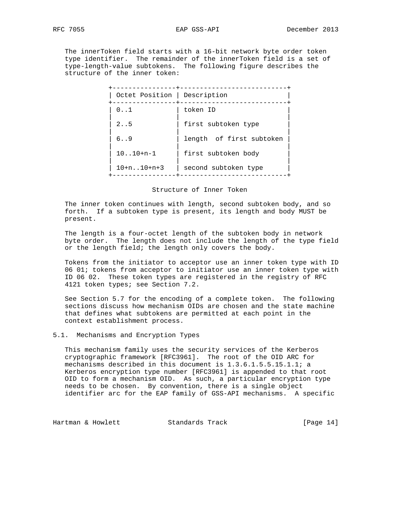The innerToken field starts with a 16-bit network byte order token type identifier. The remainder of the innerToken field is a set of type-length-value subtokens. The following figure describes the structure of the inner token:

| Octet Position   Description |                          |
|------------------------------|--------------------------|
| 0.1                          | token ID                 |
| 2. .5                        | first subtoken type      |
| 6.09                         | length of first subtoken |
| $10. .10+n-1$                | first subtoken body      |
| $10+n$ $10+n+3$              | second subtoken type     |

#### Structure of Inner Token

 The inner token continues with length, second subtoken body, and so forth. If a subtoken type is present, its length and body MUST be present.

 The length is a four-octet length of the subtoken body in network byte order. The length does not include the length of the type field or the length field; the length only covers the body.

 Tokens from the initiator to acceptor use an inner token type with ID 06 01; tokens from acceptor to initiator use an inner token type with ID 06 02. These token types are registered in the registry of RFC 4121 token types; see Section 7.2.

 See Section 5.7 for the encoding of a complete token. The following sections discuss how mechanism OIDs are chosen and the state machine that defines what subtokens are permitted at each point in the context establishment process.

## 5.1. Mechanisms and Encryption Types

 This mechanism family uses the security services of the Kerberos cryptographic framework [RFC3961]. The root of the OID ARC for mechanisms described in this document is 1.3.6.1.5.5.15.1.1; a Kerberos encryption type number [RFC3961] is appended to that root OID to form a mechanism OID. As such, a particular encryption type needs to be chosen. By convention, there is a single object identifier arc for the EAP family of GSS-API mechanisms. A specific

Hartman & Howlett Standards Track [Page 14]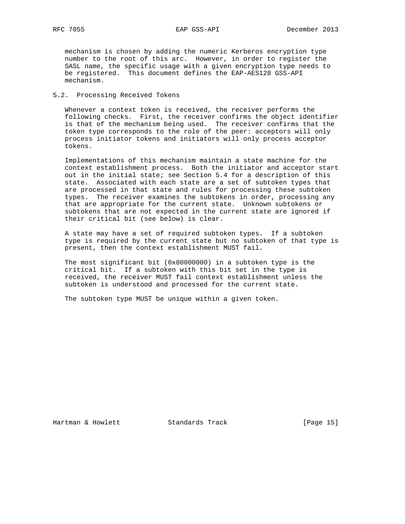mechanism is chosen by adding the numeric Kerberos encryption type number to the root of this arc. However, in order to register the SASL name, the specific usage with a given encryption type needs to be registered. This document defines the EAP-AES128 GSS-API mechanism.

## 5.2. Processing Received Tokens

 Whenever a context token is received, the receiver performs the following checks. First, the receiver confirms the object identifier is that of the mechanism being used. The receiver confirms that the token type corresponds to the role of the peer: acceptors will only process initiator tokens and initiators will only process acceptor tokens.

 Implementations of this mechanism maintain a state machine for the context establishment process. Both the initiator and acceptor start out in the initial state; see Section 5.4 for a description of this state. Associated with each state are a set of subtoken types that are processed in that state and rules for processing these subtoken types. The receiver examines the subtokens in order, processing any that are appropriate for the current state. Unknown subtokens or subtokens that are not expected in the current state are ignored if their critical bit (see below) is clear.

 A state may have a set of required subtoken types. If a subtoken type is required by the current state but no subtoken of that type is present, then the context establishment MUST fail.

 The most significant bit (0x80000000) in a subtoken type is the critical bit. If a subtoken with this bit set in the type is received, the receiver MUST fail context establishment unless the subtoken is understood and processed for the current state.

The subtoken type MUST be unique within a given token.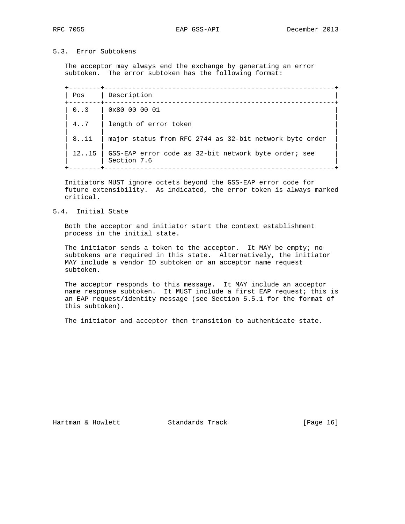## 5.3. Error Subtokens

 The acceptor may always end the exchange by generating an error subtoken. The error subtoken has the following format:

 +--------+----------------------------------------------------------+ | Pos | Description | +--------+----------------------------------------------------------+ | 0..3 | 0x80 00 00 01 | | | | 4..7 | length of error token | | | 8..11 | major status from RFC 2744 as 32-bit network byte order | | | 12..15 | GSS-EAP error code as 32-bit network byte order; see | Section 7.6 +--------+----------------------------------------------------------+

 Initiators MUST ignore octets beyond the GSS-EAP error code for future extensibility. As indicated, the error token is always marked critical.

## 5.4. Initial State

 Both the acceptor and initiator start the context establishment process in the initial state.

 The initiator sends a token to the acceptor. It MAY be empty; no subtokens are required in this state. Alternatively, the initiator MAY include a vendor ID subtoken or an acceptor name request subtoken.

 The acceptor responds to this message. It MAY include an acceptor name response subtoken. It MUST include a first EAP request; this is an EAP request/identity message (see Section 5.5.1 for the format of this subtoken).

The initiator and acceptor then transition to authenticate state.

Hartman & Howlett Standards Track [Page 16]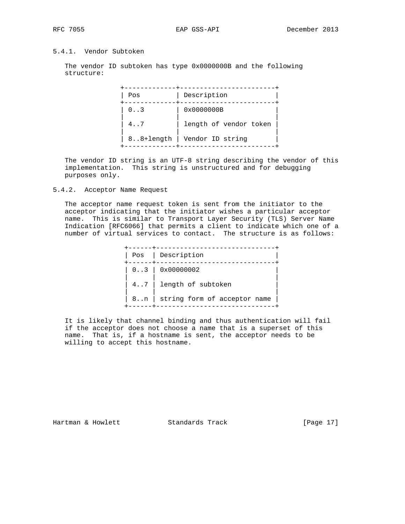# 5.4.1. Vendor Subtoken

 The vendor ID subtoken has type 0x0000000B and the following structure:

| Pos       | Description            |
|-----------|------------------------|
| 0.3       | 0x0000000B             |
| 4.7       | length of vendor token |
| 88+length | Vendor ID string       |

 The vendor ID string is an UTF-8 string describing the vendor of this implementation. This string is unstructured and for debugging purposes only.

## 5.4.2. Acceptor Name Request

 The acceptor name request token is sent from the initiator to the acceptor indicating that the initiator wishes a particular acceptor name. This is similar to Transport Layer Security (TLS) Server Name Indication [RFC6066] that permits a client to indicate which one of a number of virtual services to contact. The structure is as follows:

|  | Pos   Description                 |
|--|-----------------------------------|
|  |                                   |
|  | 47 length of subtoken             |
|  | 8n   string form of acceptor name |

 It is likely that channel binding and thus authentication will fail if the acceptor does not choose a name that is a superset of this name. That is, if a hostname is sent, the acceptor needs to be willing to accept this hostname.

Hartman & Howlett Standards Track [Page 17]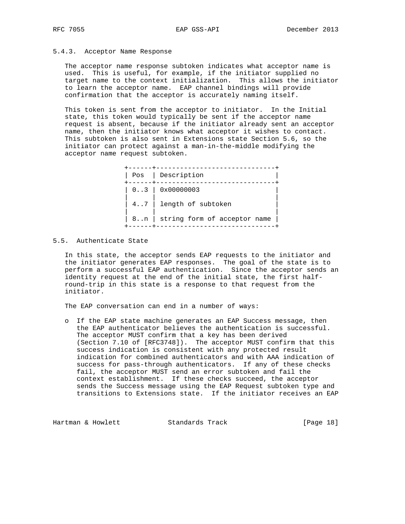## 5.4.3. Acceptor Name Response

 The acceptor name response subtoken indicates what acceptor name is used. This is useful, for example, if the initiator supplied no target name to the context initialization. This allows the initiator to learn the acceptor name. EAP channel bindings will provide confirmation that the acceptor is accurately naming itself.

 This token is sent from the acceptor to initiator. In the Initial state, this token would typically be sent if the acceptor name request is absent, because if the initiator already sent an acceptor name, then the initiator knows what acceptor it wishes to contact. This subtoken is also sent in Extensions state Section 5.6, so the initiator can protect against a man-in-the-middle modifying the acceptor name request subtoken.

 +------+------------------------------+ | Pos | Description | +------+------------------------------+  $| 0..3 | 0x00000003$  | | |  $| 4..7 |$  length of subtoken | | |  $| 8..n |$  string form of acceptor name +------+------------------------------+

## 5.5. Authenticate State

 In this state, the acceptor sends EAP requests to the initiator and the initiator generates EAP responses. The goal of the state is to perform a successful EAP authentication. Since the acceptor sends an identity request at the end of the initial state, the first half round-trip in this state is a response to that request from the initiator.

The EAP conversation can end in a number of ways:

 o If the EAP state machine generates an EAP Success message, then the EAP authenticator believes the authentication is successful. The acceptor MUST confirm that a key has been derived (Section 7.10 of [RFC3748]). The acceptor MUST confirm that this success indication is consistent with any protected result indication for combined authenticators and with AAA indication of success for pass-through authenticators. If any of these checks fail, the acceptor MUST send an error subtoken and fail the context establishment. If these checks succeed, the acceptor sends the Success message using the EAP Request subtoken type and transitions to Extensions state. If the initiator receives an EAP

Hartman & Howlett Standards Track [Page 18]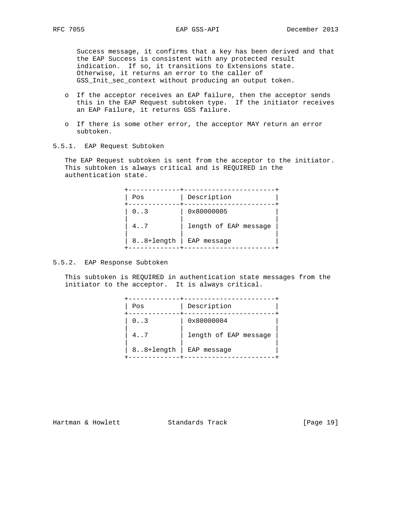Success message, it confirms that a key has been derived and that the EAP Success is consistent with any protected result indication. If so, it transitions to Extensions state. Otherwise, it returns an error to the caller of GSS\_Init\_sec\_context without producing an output token.

- o If the acceptor receives an EAP failure, then the acceptor sends this in the EAP Request subtoken type. If the initiator receives an EAP Failure, it returns GSS failure.
- o If there is some other error, the acceptor MAY return an error subtoken.
- 5.5.1. EAP Request Subtoken

 The EAP Request subtoken is sent from the acceptor to the initiator. This subtoken is always critical and is REQUIRED in the authentication state.

| Pos       | Description           |
|-----------|-----------------------|
|           |                       |
| 0.3       | 0x80000005            |
| 4.7       | length of EAP message |
| 88+length | EAP message           |

# 5.5.2. EAP Response Subtoken

 This subtoken is REQUIRED in authentication state messages from the initiator to the acceptor. It is always critical.

| Pos       | Description           |
|-----------|-----------------------|
| 0.3       | 0x80000004            |
| 4.7       | length of EAP message |
| 88+length | EAP message           |

Hartman & Howlett Standards Track [Page 19]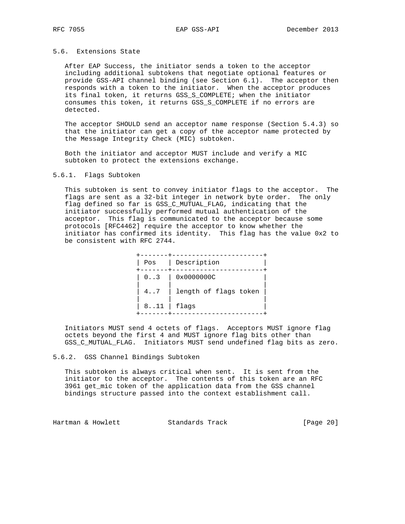## 5.6. Extensions State

 After EAP Success, the initiator sends a token to the acceptor including additional subtokens that negotiate optional features or provide GSS-API channel binding (see Section 6.1). The acceptor then responds with a token to the initiator. When the acceptor produces its final token, it returns GSS\_S\_COMPLETE; when the initiator consumes this token, it returns GSS\_S\_COMPLETE if no errors are detected.

 The acceptor SHOULD send an acceptor name response (Section 5.4.3) so that the initiator can get a copy of the acceptor name protected by the Message Integrity Check (MIC) subtoken.

 Both the initiator and acceptor MUST include and verify a MIC subtoken to protect the extensions exchange.

## 5.6.1. Flags Subtoken

 This subtoken is sent to convey initiator flags to the acceptor. The flags are sent as a 32-bit integer in network byte order. The only flag defined so far is GSS\_C\_MUTUAL\_FLAG, indicating that the initiator successfully performed mutual authentication of the acceptor. This flag is communicated to the acceptor because some protocols [RFC4462] require the acceptor to know whether the initiator has confirmed its identity. This flag has the value 0x2 to be consistent with RFC 2744.

 +-------+-----------------------+ | Pos | Description | +-------+-----------------------+  $| 0..3 | 0x0000000C$  | | | | 4..7 | length of flags token | | | |  $| 8..11 |$  flags +-------+-----------------------+

 Initiators MUST send 4 octets of flags. Acceptors MUST ignore flag octets beyond the first 4 and MUST ignore flag bits other than GSS\_C\_MUTUAL\_FLAG. Initiators MUST send undefined flag bits as zero.

#### 5.6.2. GSS Channel Bindings Subtoken

 This subtoken is always critical when sent. It is sent from the initiator to the acceptor. The contents of this token are an RFC 3961 get\_mic token of the application data from the GSS channel bindings structure passed into the context establishment call.

Hartman & Howlett Standards Track [Page 20]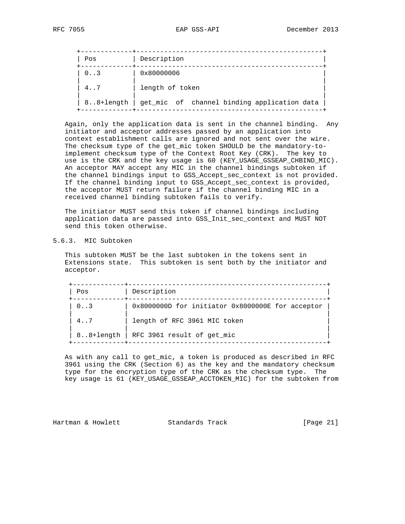| Pos       | Description                                 |
|-----------|---------------------------------------------|
| 0.3       | 0x80000006                                  |
| 4.7       | length of token                             |
| 88+length | get_mic of channel binding application data |

 Again, only the application data is sent in the channel binding. Any initiator and acceptor addresses passed by an application into context establishment calls are ignored and not sent over the wire. The checksum type of the get\_mic token SHOULD be the mandatory-to implement checksum type of the Context Root Key (CRK). The key to use is the CRK and the key usage is 60 (KEY\_USAGE\_GSSEAP\_CHBIND\_MIC). An acceptor MAY accept any MIC in the channel bindings subtoken if the channel bindings input to GSS\_Accept\_sec\_context is not provided. If the channel binding input to GSS\_Accept\_sec\_context is provided, the acceptor MUST return failure if the channel binding MIC in a received channel binding subtoken fails to verify.

 The initiator MUST send this token if channel bindings including application data are passed into GSS\_Init\_sec\_context and MUST NOT send this token otherwise.

## 5.6.3. MIC Subtoken

 This subtoken MUST be the last subtoken in the tokens sent in Extensions state. This subtoken is sent both by the initiator and acceptor.

| Pos          | Description                                      |
|--------------|--------------------------------------------------|
| $0 \ldots 3$ | 0x8000000D for initiator 0x8000000E for acceptor |
| 4.7          | length of RFC 3961 MIC token                     |
| 88+length    | RFC 3961 result of get mic                       |

 As with any call to get\_mic, a token is produced as described in RFC 3961 using the CRK (Section 6) as the key and the mandatory checksum type for the encryption type of the CRK as the checksum type. The key usage is 61 (KEY\_USAGE\_GSSEAP\_ACCTOKEN\_MIC) for the subtoken from

Hartman & Howlett Standards Track [Page 21]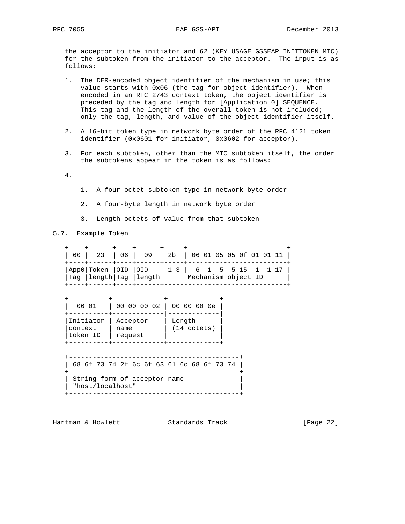the acceptor to the initiator and 62 (KEY\_USAGE\_GSSEAP\_INITTOKEN\_MIC) for the subtoken from the initiator to the acceptor. The input is as follows:

- 1. The DER-encoded object identifier of the mechanism in use; this value starts with 0x06 (the tag for object identifier). When encoded in an RFC 2743 context token, the object identifier is preceded by the tag and length for [Application 0] SEQUENCE. This tag and the length of the overall token is not included; only the tag, length, and value of the object identifier itself.
- 2. A 16-bit token type in network byte order of the RFC 4121 token identifier (0x0601 for initiator, 0x0602 for acceptor).
- 3. For each subtoken, other than the MIC subtoken itself, the order the subtokens appear in the token is as follows:

4.

- 1. A four-octet subtoken type in network byte order
- 2. A four-byte length in network byte order
- 3. Length octets of value from that subtoken
- 5.7. Example Token

|  | 60   23   06   09   2b   06 01 05 05 0f 01 01 11                            |                     |  |  |  |  |
|--|-----------------------------------------------------------------------------|---------------------|--|--|--|--|
|  | $ App0 Token  OID  OID   13   6 1 5 5 15 1 1 17  $<br>Tag length Tag length | Mechanism object ID |  |  |  |  |

| 06 01                            | 00 00 00 02                 | 00 00 00 0e                     |
|----------------------------------|-----------------------------|---------------------------------|
| Initiator<br>context<br>token ID | Acceptor<br>name<br>request | Length<br>$(14 \text{ octets})$ |

|                              |  |  |  |  |  |  |  |  | 68 6f 73 74 2f 6c 6f 63 61 6c 68 6f 73 74 |  |  |  |
|------------------------------|--|--|--|--|--|--|--|--|-------------------------------------------|--|--|--|
|                              |  |  |  |  |  |  |  |  |                                           |  |  |  |
| String form of acceptor name |  |  |  |  |  |  |  |  |                                           |  |  |  |
|                              |  |  |  |  |  |  |  |  |                                           |  |  |  |
| "host/localhost"             |  |  |  |  |  |  |  |  |                                           |  |  |  |

Hartman & Howlett Standards Track [Page 22]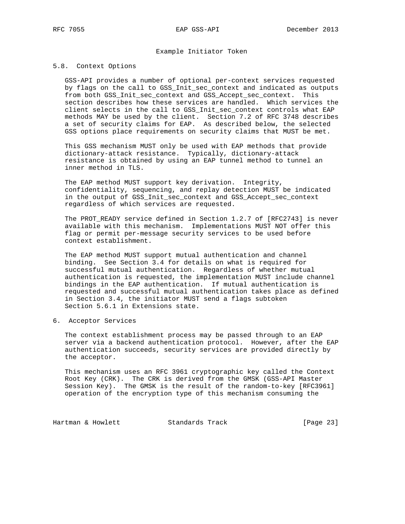## Example Initiator Token

#### 5.8. Context Options

 GSS-API provides a number of optional per-context services requested by flags on the call to GSS\_Init\_sec\_context and indicated as outputs from both GSS\_Init\_sec\_context and GSS\_Accept\_sec\_context. This section describes how these services are handled. Which services the client selects in the call to GSS\_Init\_sec\_context controls what EAP methods MAY be used by the client. Section 7.2 of RFC 3748 describes a set of security claims for EAP. As described below, the selected GSS options place requirements on security claims that MUST be met.

 This GSS mechanism MUST only be used with EAP methods that provide dictionary-attack resistance. Typically, dictionary-attack resistance is obtained by using an EAP tunnel method to tunnel an inner method in TLS.

 The EAP method MUST support key derivation. Integrity, confidentiality, sequencing, and replay detection MUST be indicated in the output of GSS\_Init\_sec\_context and GSS\_Accept\_sec\_context regardless of which services are requested.

 The PROT\_READY service defined in Section 1.2.7 of [RFC2743] is never available with this mechanism. Implementations MUST NOT offer this flag or permit per-message security services to be used before context establishment.

 The EAP method MUST support mutual authentication and channel binding. See Section 3.4 for details on what is required for successful mutual authentication. Regardless of whether mutual authentication is requested, the implementation MUST include channel bindings in the EAP authentication. If mutual authentication is requested and successful mutual authentication takes place as defined in Section 3.4, the initiator MUST send a flags subtoken Section 5.6.1 in Extensions state.

6. Acceptor Services

 The context establishment process may be passed through to an EAP server via a backend authentication protocol. However, after the EAP authentication succeeds, security services are provided directly by the acceptor.

 This mechanism uses an RFC 3961 cryptographic key called the Context Root Key (CRK). The CRK is derived from the GMSK (GSS-API Master Session Key). The GMSK is the result of the random-to-key [RFC3961] operation of the encryption type of this mechanism consuming the

Hartman & Howlett Standards Track [Page 23]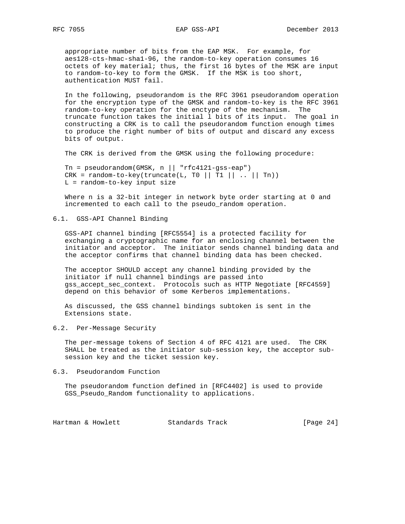appropriate number of bits from the EAP MSK. For example, for aes128-cts-hmac-sha1-96, the random-to-key operation consumes 16 octets of key material; thus, the first 16 bytes of the MSK are input to random-to-key to form the GMSK. If the MSK is too short, authentication MUST fail.

 In the following, pseudorandom is the RFC 3961 pseudorandom operation for the encryption type of the GMSK and random-to-key is the RFC 3961 random-to-key operation for the enctype of the mechanism. The truncate function takes the initial l bits of its input. The goal in constructing a CRK is to call the pseudorandom function enough times to produce the right number of bits of output and discard any excess bits of output.

The CRK is derived from the GMSK using the following procedure:

 $Tn = pseudorandom(GMSK, n || "rfc4121-gss-eap")$ CRK = random-to-key(truncate(L, T0 || T1 || .. || Tn)) L = random-to-key input size

 Where n is a 32-bit integer in network byte order starting at 0 and incremented to each call to the pseudo\_random operation.

## 6.1. GSS-API Channel Binding

 GSS-API channel binding [RFC5554] is a protected facility for exchanging a cryptographic name for an enclosing channel between the initiator and acceptor. The initiator sends channel binding data and the acceptor confirms that channel binding data has been checked.

 The acceptor SHOULD accept any channel binding provided by the initiator if null channel bindings are passed into gss\_accept\_sec\_context. Protocols such as HTTP Negotiate [RFC4559] depend on this behavior of some Kerberos implementations.

 As discussed, the GSS channel bindings subtoken is sent in the Extensions state.

## 6.2. Per-Message Security

 The per-message tokens of Section 4 of RFC 4121 are used. The CRK SHALL be treated as the initiator sub-session key, the acceptor sub session key and the ticket session key.

#### 6.3. Pseudorandom Function

 The pseudorandom function defined in [RFC4402] is used to provide GSS\_Pseudo\_Random functionality to applications.

| [Page $24$ ]<br>Hartman & Howlett<br>Standards Track |  |
|------------------------------------------------------|--|
|------------------------------------------------------|--|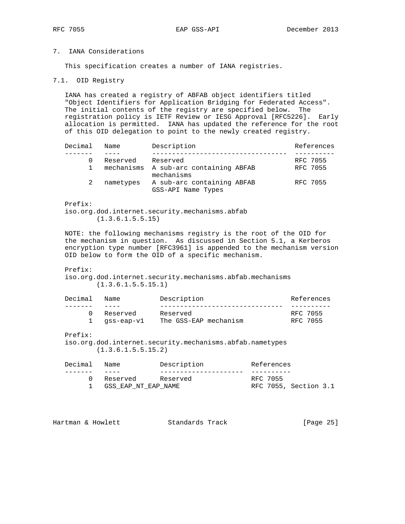# 7. IANA Considerations

This specification creates a number of IANA registries.

#### 7.1. OID Registry

 IANA has created a registry of ABFAB object identifiers titled "Object Identifiers for Application Bridging for Federated Access". The initial contents of the registry are specified below. The registration policy is IETF Review or IESG Approval [RFC5226]. Early allocation is permitted. IANA has updated the reference for the root of this OID delegation to point to the newly created registry.

| Decimal | Name      | Description                                         | References |
|---------|-----------|-----------------------------------------------------|------------|
|         |           |                                                     |            |
|         | Reserved  | Reserved                                            | RFC 7055   |
|         |           | mechanisms A sub-arc containing ABFAB<br>mechanisms | RFC 7055   |
|         | nametypes | A sub-arc containing ABFAB<br>GSS-API Name Types    | RFC 7055   |

Prefix:

 iso.org.dod.internet.security.mechanisms.abfab (1.3.6.1.5.5.15)

 NOTE: the following mechanisms registry is the root of the OID for the mechanism in question. As discussed in Section 5.1, a Kerberos encryption type number [RFC3961] is appended to the mechanism version OID below to form the OID of a specific mechanism.

#### Prefix:

 iso.org.dod.internet.security.mechanisms.abfab.mechanisms (1.3.6.1.5.5.15.1)

| Decimal | Name       | Description           | References |
|---------|------------|-----------------------|------------|
|         |            |                       |            |
|         | Reserved   | Reserved              | RFC 7055   |
|         | ass-eap-vl | The GSS-EAP mechanism | RFC 7055   |

Prefix:

 iso.org.dod.internet.security.mechanisms.abfab.nametypes (1.3.6.1.5.5.15.2)

| Decimal Name |                     | Description | References |                       |  |
|--------------|---------------------|-------------|------------|-----------------------|--|
|              |                     |             |            |                       |  |
|              | Reserved Reserved   |             | RFC 7055   |                       |  |
|              | GSS EAP NT EAP NAME |             |            | RFC 7055, Section 3.1 |  |
|              |                     |             |            |                       |  |

Hartman & Howlett Standards Track [Page 25]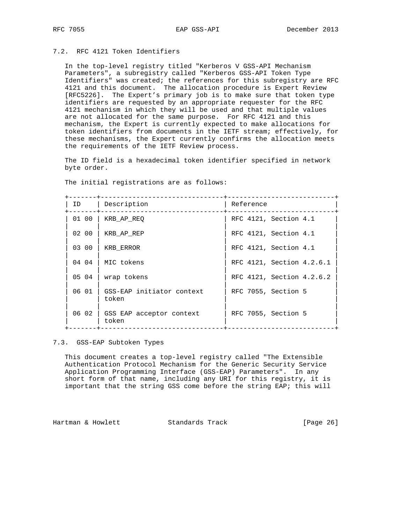# 7.2. RFC 4121 Token Identifiers

 In the top-level registry titled "Kerberos V GSS-API Mechanism Parameters", a subregistry called "Kerberos GSS-API Token Type Identifiers" was created; the references for this subregistry are RFC 4121 and this document. The allocation procedure is Expert Review [RFC5226]. The Expert's primary job is to make sure that token type identifiers are requested by an appropriate requester for the RFC 4121 mechanism in which they will be used and that multiple values are not allocated for the same purpose. For RFC 4121 and this mechanism, the Expert is currently expected to make allocations for token identifiers from documents in the IETF stream; effectively, for these mechanisms, the Expert currently confirms the allocation meets the requirements of the IETF Review process.

 The ID field is a hexadecimal token identifier specified in network byte order.

The initial registrations are as follows:

| ID    | Description                                | Reference                 |
|-------|--------------------------------------------|---------------------------|
| 01 00 | KRB AP REQ                                 | RFC 4121, Section 4.1     |
| 02 00 | KRB AP REP                                 | RFC 4121, Section 4.1     |
| 03 00 | KRB ERROR                                  | RFC 4121, Section 4.1     |
|       | $04$ 04   MIC tokens                       | RFC 4121, Section 4.2.6.1 |
| 05 04 | wrap tokens                                | RFC 4121, Section 4.2.6.2 |
|       | 06 01   GSS-EAP initiator context<br>token | RFC 7055, Section 5       |
|       | 06 02   GSS EAP acceptor context<br>token  | RFC 7055, Section 5       |
|       |                                            |                           |

7.3. GSS-EAP Subtoken Types

 This document creates a top-level registry called "The Extensible Authentication Protocol Mechanism for the Generic Security Service Application Programming Interface (GSS-EAP) Parameters". In any short form of that name, including any URI for this registry, it is important that the string GSS come before the string EAP; this will

Hartman & Howlett Standards Track [Page 26]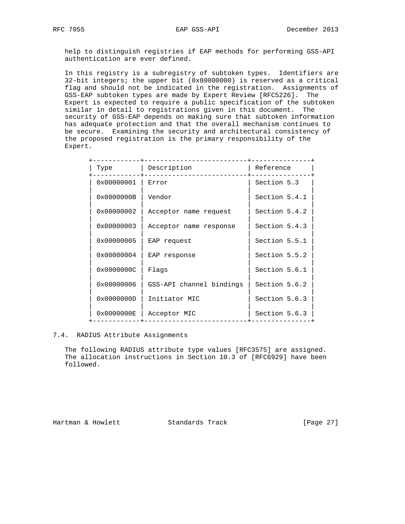help to distinguish registries if EAP methods for performing GSS-API authentication are ever defined.

 In this registry is a subregistry of subtoken types. Identifiers are 32-bit integers; the upper bit (0x80000000) is reserved as a critical flag and should not be indicated in the registration. Assignments of GSS-EAP subtoken types are made by Expert Review [RFC5226]. The Expert is expected to require a public specification of the subtoken similar in detail to registrations given in this document. The security of GSS-EAP depends on making sure that subtoken information has adequate protection and that the overall mechanism continues to be secure. Examining the security and architectural consistency of the proposed registration is the primary responsibility of the Expert.

| Type                | Description              | Reference     |
|---------------------|--------------------------|---------------|
| 0x00000001          | Error                    | Section 5.3   |
| $0 \times 0000000B$ | Vendor                   | Section 5.4.1 |
| 0x00000002          | Acceptor name request    | Section 5.4.2 |
| $0 \times 00000003$ | Acceptor name response   | Section 5.4.3 |
| 0x00000005          | EAP request              | Section 5.5.1 |
| $0 \times 00000004$ | EAP response             | Section 5.5.2 |
| 0x0000000C          | Flags                    | Section 5.6.1 |
| 0x00000006          | GSS-API channel bindings | Section 5.6.2 |
| 0x0000000D          | Initiator MIC            | Section 5.6.3 |
| 0x0000000E          | Acceptor MIC             | Section 5.6.3 |
|                     |                          |               |

## 7.4. RADIUS Attribute Assignments

 The following RADIUS attribute type values [RFC3575] are assigned. The allocation instructions in Section 10.3 of [RFC6929] have been followed.

Hartman & Howlett Standards Track [Page 27]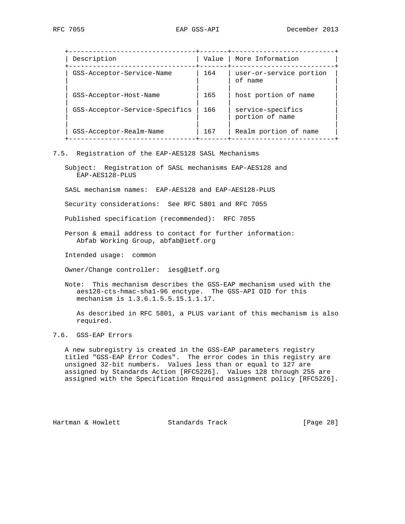| Description                    | Value | More Information                     |
|--------------------------------|-------|--------------------------------------|
| GSS-Acceptor-Service-Name      | 164   | user-or-service portion<br>of name   |
| GSS-Acceptor-Host-Name         | 165   | host portion of name                 |
| GSS-Acceptor-Service-Specifics | 166   | service-specifics<br>portion of name |
| GSS-Acceptor-Realm-Name        | 167   | Realm portion of name                |

#### 7.5. Registration of the EAP-AES128 SASL Mechanisms

 Subject: Registration of SASL mechanisms EAP-AES128 and EAP-AES128-PLUS

SASL mechanism names: EAP-AES128 and EAP-AES128-PLUS

Security considerations: See RFC 5801 and RFC 7055

Published specification (recommended): RFC 7055

 Person & email address to contact for further information: Abfab Working Group, abfab@ietf.org

Intended usage: common

Owner/Change controller: iesg@ietf.org

 Note: This mechanism describes the GSS-EAP mechanism used with the aes128-cts-hmac-sha1-96 enctype. The GSS-API OID for this mechanism is 1.3.6.1.5.5.15.1.1.17.

 As described in RFC 5801, a PLUS variant of this mechanism is also required.

7.6. GSS-EAP Errors

 A new subregistry is created in the GSS-EAP parameters registry titled "GSS-EAP Error Codes". The error codes in this registry are unsigned 32-bit numbers. Values less than or equal to 127 are assigned by Standards Action [RFC5226]. Values 128 through 255 are assigned with the Specification Required assignment policy [RFC5226].

Hartman & Howlett Standards Track [Page 28]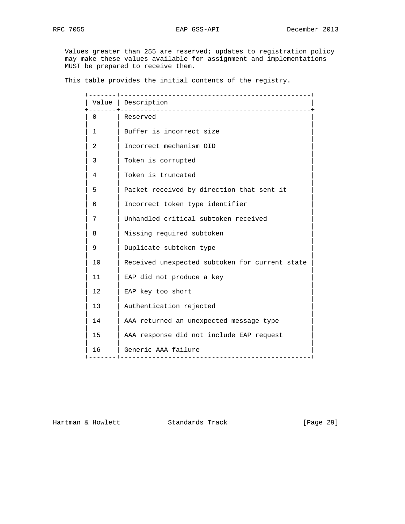Values greater than 255 are reserved; updates to registration policy may make these values available for assignment and implementations MUST be prepared to receive them.

This table provides the initial contents of the registry.

|          | Value   Description                                |
|----------|----------------------------------------------------|
| $\Omega$ | Reserved                                           |
| 1        | Buffer is incorrect size                           |
| 2        | Incorrect mechanism OID                            |
| 3        | Token is corrupted                                 |
| 4        | Token is truncated                                 |
| 5        | Packet received by direction that sent it          |
| 6        | Incorrect token type identifier                    |
| 7        | Unhandled critical subtoken received               |
| 8        | Missing required subtoken                          |
| 9        | Duplicate subtoken type                            |
| 10       | Received unexpected subtoken for current state     |
| 11       | EAP did not produce a key                          |
| 12       | EAP key too short                                  |
| 13       | Authentication rejected                            |
| 14       | AAA returned an unexpected message type            |
| 15       | AAA response did not include EAP request           |
| 16       | Generic AAA failure<br>--------------------------- |

Hartman & Howlett Standards Track [Page 29]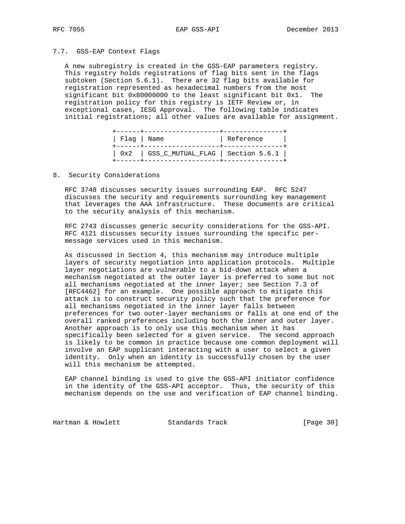## 7.7. GSS-EAP Context Flags

 A new subregistry is created in the GSS-EAP parameters registry. This registry holds registrations of flag bits sent in the flags subtoken (Section 5.6.1). There are 32 flag bits available for registration represented as hexadecimal numbers from the most significant bit 0x80000000 to the least significant bit 0x1. The registration policy for this registry is IETF Review or, in exceptional cases, IESG Approval. The following table indicates initial registrations; all other values are available for assignment.

| Flag   Name | ------+-------------------+-----------    | Reference |  |
|-------------|-------------------------------------------|-----------|--|
|             | $0x2$   GSS_C_MUTUAL_FLAG   Section 5.6.1 |           |  |

8. Security Considerations

 RFC 3748 discusses security issues surrounding EAP. RFC 5247 discusses the security and requirements surrounding key management that leverages the AAA infrastructure. These documents are critical to the security analysis of this mechanism.

 RFC 2743 discusses generic security considerations for the GSS-API. RFC 4121 discusses security issues surrounding the specific per message services used in this mechanism.

 As discussed in Section 4, this mechanism may introduce multiple layers of security negotiation into application protocols. Multiple layer negotiations are vulnerable to a bid-down attack when a mechanism negotiated at the outer layer is preferred to some but not all mechanisms negotiated at the inner layer; see Section 7.3 of [RFC4462] for an example. One possible approach to mitigate this attack is to construct security policy such that the preference for all mechanisms negotiated in the inner layer falls between preferences for two outer-layer mechanisms or falls at one end of the overall ranked preferences including both the inner and outer layer. Another approach is to only use this mechanism when it has specifically been selected for a given service. The second approach is likely to be common in practice because one common deployment will involve an EAP supplicant interacting with a user to select a given identity. Only when an identity is successfully chosen by the user will this mechanism be attempted.

 EAP channel binding is used to give the GSS-API initiator confidence in the identity of the GSS-API acceptor. Thus, the security of this mechanism depends on the use and verification of EAP channel binding.

Hartman & Howlett Standards Track [Page 30]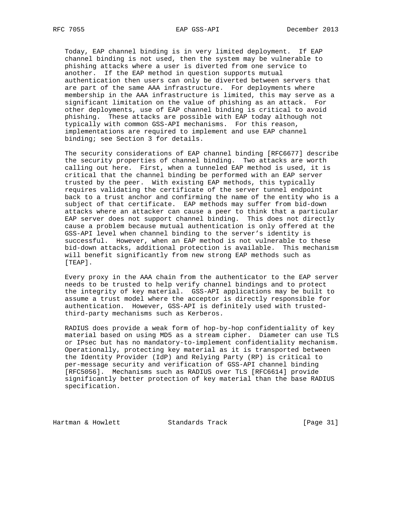Today, EAP channel binding is in very limited deployment. If EAP channel binding is not used, then the system may be vulnerable to phishing attacks where a user is diverted from one service to another. If the EAP method in question supports mutual authentication then users can only be diverted between servers that are part of the same AAA infrastructure. For deployments where membership in the AAA infrastructure is limited, this may serve as a significant limitation on the value of phishing as an attack. For other deployments, use of EAP channel binding is critical to avoid phishing. These attacks are possible with EAP today although not typically with common GSS-API mechanisms. For this reason, implementations are required to implement and use EAP channel binding; see Section 3 for details.

 The security considerations of EAP channel binding [RFC6677] describe the security properties of channel binding. Two attacks are worth calling out here. First, when a tunneled EAP method is used, it is critical that the channel binding be performed with an EAP server trusted by the peer. With existing EAP methods, this typically requires validating the certificate of the server tunnel endpoint back to a trust anchor and confirming the name of the entity who is a subject of that certificate. EAP methods may suffer from bid-down attacks where an attacker can cause a peer to think that a particular EAP server does not support channel binding. This does not directly cause a problem because mutual authentication is only offered at the GSS-API level when channel binding to the server's identity is successful. However, when an EAP method is not vulnerable to these bid-down attacks, additional protection is available. This mechanism will benefit significantly from new strong EAP methods such as [TEAP].

 Every proxy in the AAA chain from the authenticator to the EAP server needs to be trusted to help verify channel bindings and to protect the integrity of key material. GSS-API applications may be built to assume a trust model where the acceptor is directly responsible for authentication. However, GSS-API is definitely used with trusted third-party mechanisms such as Kerberos.

 RADIUS does provide a weak form of hop-by-hop confidentiality of key material based on using MD5 as a stream cipher. Diameter can use TLS or IPsec but has no mandatory-to-implement confidentiality mechanism. Operationally, protecting key material as it is transported between the Identity Provider (IdP) and Relying Party (RP) is critical to per-message security and verification of GSS-API channel binding [RFC5056]. Mechanisms such as RADIUS over TLS [RFC6614] provide significantly better protection of key material than the base RADIUS specification.

Hartman & Howlett Standards Track [Page 31]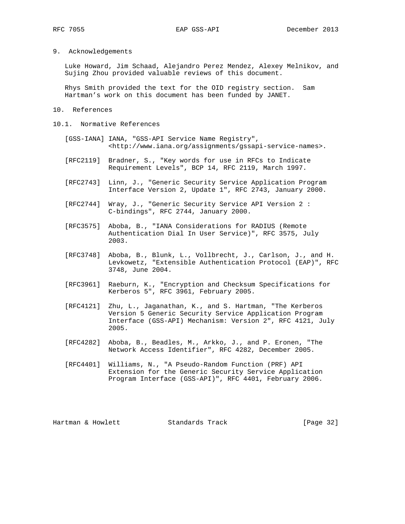9. Acknowledgements

 Luke Howard, Jim Schaad, Alejandro Perez Mendez, Alexey Melnikov, and Sujing Zhou provided valuable reviews of this document.

 Rhys Smith provided the text for the OID registry section. Sam Hartman's work on this document has been funded by JANET.

- 10. References
- 10.1. Normative References
	- [GSS-IANA] IANA, "GSS-API Service Name Registry", <http://www.iana.org/assignments/gssapi-service-names>.
	- [RFC2119] Bradner, S., "Key words for use in RFCs to Indicate Requirement Levels", BCP 14, RFC 2119, March 1997.
	- [RFC2743] Linn, J., "Generic Security Service Application Program Interface Version 2, Update 1", RFC 2743, January 2000.
	- [RFC2744] Wray, J., "Generic Security Service API Version 2 : C-bindings", RFC 2744, January 2000.
	- [RFC3575] Aboba, B., "IANA Considerations for RADIUS (Remote Authentication Dial In User Service)", RFC 3575, July 2003.
	- [RFC3748] Aboba, B., Blunk, L., Vollbrecht, J., Carlson, J., and H. Levkowetz, "Extensible Authentication Protocol (EAP)", RFC 3748, June 2004.
	- [RFC3961] Raeburn, K., "Encryption and Checksum Specifications for Kerberos 5", RFC 3961, February 2005.
	- [RFC4121] Zhu, L., Jaganathan, K., and S. Hartman, "The Kerberos Version 5 Generic Security Service Application Program Interface (GSS-API) Mechanism: Version 2", RFC 4121, July 2005.
	- [RFC4282] Aboba, B., Beadles, M., Arkko, J., and P. Eronen, "The Network Access Identifier", RFC 4282, December 2005.
	- [RFC4401] Williams, N., "A Pseudo-Random Function (PRF) API Extension for the Generic Security Service Application Program Interface (GSS-API)", RFC 4401, February 2006.

Hartman & Howlett Standards Track [Page 32]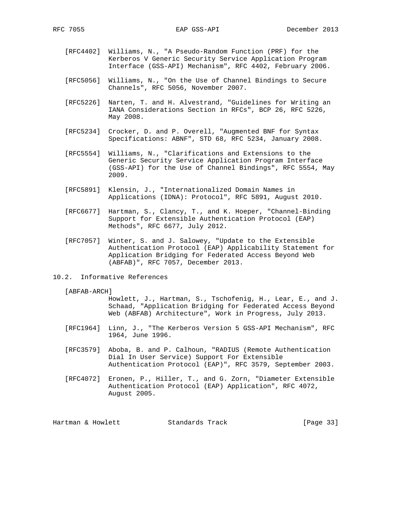- [RFC4402] Williams, N., "A Pseudo-Random Function (PRF) for the Kerberos V Generic Security Service Application Program Interface (GSS-API) Mechanism", RFC 4402, February 2006.
- [RFC5056] Williams, N., "On the Use of Channel Bindings to Secure Channels", RFC 5056, November 2007.
- [RFC5226] Narten, T. and H. Alvestrand, "Guidelines for Writing an IANA Considerations Section in RFCs", BCP 26, RFC 5226, May 2008.
- [RFC5234] Crocker, D. and P. Overell, "Augmented BNF for Syntax Specifications: ABNF", STD 68, RFC 5234, January 2008.
- [RFC5554] Williams, N., "Clarifications and Extensions to the Generic Security Service Application Program Interface (GSS-API) for the Use of Channel Bindings", RFC 5554, May 2009.
- [RFC5891] Klensin, J., "Internationalized Domain Names in Applications (IDNA): Protocol", RFC 5891, August 2010.
- [RFC6677] Hartman, S., Clancy, T., and K. Hoeper, "Channel-Binding Support for Extensible Authentication Protocol (EAP) Methods", RFC 6677, July 2012.
- [RFC7057] Winter, S. and J. Salowey, "Update to the Extensible Authentication Protocol (EAP) Applicability Statement for Application Bridging for Federated Access Beyond Web (ABFAB)", RFC 7057, December 2013.
- 10.2. Informative References

[ABFAB-ARCH]

 Howlett, J., Hartman, S., Tschofenig, H., Lear, E., and J. Schaad, "Application Bridging for Federated Access Beyond Web (ABFAB) Architecture", Work in Progress, July 2013.

- [RFC1964] Linn, J., "The Kerberos Version 5 GSS-API Mechanism", RFC 1964, June 1996.
- [RFC3579] Aboba, B. and P. Calhoun, "RADIUS (Remote Authentication Dial In User Service) Support For Extensible Authentication Protocol (EAP)", RFC 3579, September 2003.
- [RFC4072] Eronen, P., Hiller, T., and G. Zorn, "Diameter Extensible Authentication Protocol (EAP) Application", RFC 4072, August 2005.

Hartman & Howlett Standards Track [Page 33]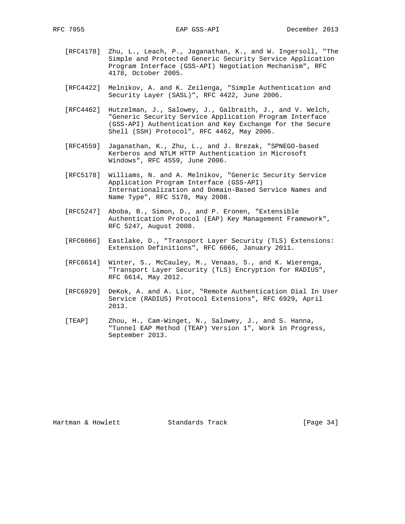- [RFC4178] Zhu, L., Leach, P., Jaganathan, K., and W. Ingersoll, "The Simple and Protected Generic Security Service Application Program Interface (GSS-API) Negotiation Mechanism", RFC 4178, October 2005.
- [RFC4422] Melnikov, A. and K. Zeilenga, "Simple Authentication and Security Layer (SASL)", RFC 4422, June 2006.
- [RFC4462] Hutzelman, J., Salowey, J., Galbraith, J., and V. Welch, "Generic Security Service Application Program Interface (GSS-API) Authentication and Key Exchange for the Secure Shell (SSH) Protocol", RFC 4462, May 2006.
- [RFC4559] Jaganathan, K., Zhu, L., and J. Brezak, "SPNEGO-based Kerberos and NTLM HTTP Authentication in Microsoft Windows", RFC 4559, June 2006.
- [RFC5178] Williams, N. and A. Melnikov, "Generic Security Service Application Program Interface (GSS-API) Internationalization and Domain-Based Service Names and Name Type", RFC 5178, May 2008.
- [RFC5247] Aboba, B., Simon, D., and P. Eronen, "Extensible Authentication Protocol (EAP) Key Management Framework", RFC 5247, August 2008.
- [RFC6066] Eastlake, D., "Transport Layer Security (TLS) Extensions: Extension Definitions", RFC 6066, January 2011.
- [RFC6614] Winter, S., McCauley, M., Venaas, S., and K. Wierenga, "Transport Layer Security (TLS) Encryption for RADIUS", RFC 6614, May 2012.
- [RFC6929] DeKok, A. and A. Lior, "Remote Authentication Dial In User Service (RADIUS) Protocol Extensions", RFC 6929, April 2013.
- [TEAP] Zhou, H., Cam-Winget, N., Salowey, J., and S. Hanna, "Tunnel EAP Method (TEAP) Version 1", Work in Progress, September 2013.